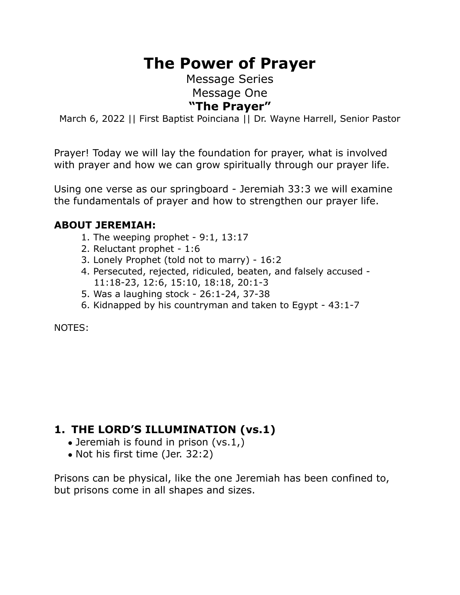# **The Power of Prayer**

Message Series Message One **"The Prayer"** 

March 6, 2022 || First Baptist Poinciana || Dr. Wayne Harrell, Senior Pastor

Prayer! Today we will lay the foundation for prayer, what is involved with prayer and how we can grow spiritually through our prayer life.

Using one verse as our springboard - Jeremiah 33:3 we will examine the fundamentals of prayer and how to strengthen our prayer life.

#### **ABOUT JEREMIAH:**

- 1. The weeping prophet  $-9:1, 13:17$
- 2. Reluctant prophet 1:6
- 3. Lonely Prophet (told not to marry) 16:2
- 4. Persecuted, rejected, ridiculed, beaten, and falsely accused 11:18-23, 12:6, 15:10, 18:18, 20:1-3
- 5. Was a laughing stock 26:1-24, 37-38
- 6. Kidnapped by his countryman and taken to Egypt 43:1-7

NOTES:

## **1. THE LORD'S ILLUMINATION (vs.1)**

- Jeremiah is found in prison (vs.1,)
- Not his first time (Jer. 32:2)

Prisons can be physical, like the one Jeremiah has been confined to, but prisons come in all shapes and sizes.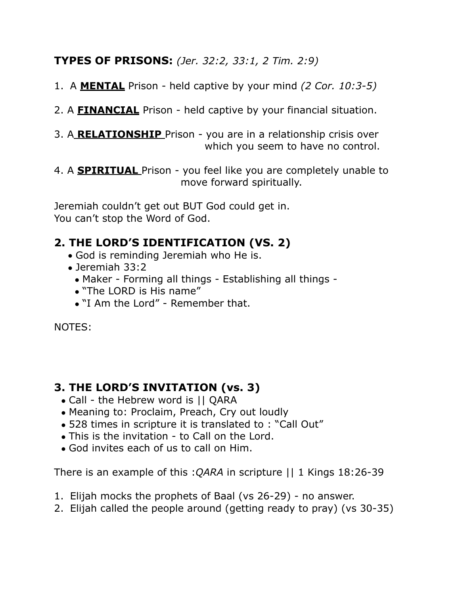## **TYPES OF PRISONS:** *(Jer. 32:2, 33:1, 2 Tim. 2:9)*

1. A **MENTAL** Prison - held captive by your mind *(2 Cor. 10:3-5)* 

2. A **FINANCIAL** Prison - held captive by your financial situation.

3. A **RELATIONSHIP** Prison - you are in a relationship crisis over which you seem to have no control.

4. A **SPIRITUAL** Prison - you feel like you are completely unable to move forward spiritually.

Jeremiah couldn't get out BUT God could get in. You can't stop the Word of God.

## **2. THE LORD'S IDENTIFICATION (VS. 2)**

- God is reminding Jeremiah who He is.
- Jeremiah 33:2
	- Maker Forming all things Establishing all things -
	- "The LORD is His name"
	- "I Am the Lord" Remember that.

NOTES:

## **3. THE LORD'S INVITATION (vs. 3)**

- Call the Hebrew word is || QARA
- Meaning to: Proclaim, Preach, Cry out loudly
- 528 times in scripture it is translated to : "Call Out"
- This is the invitation to Call on the Lord.
- God invites each of us to call on Him.

There is an example of this :*QARA* in scripture || 1 Kings 18:26-39

- 1. Elijah mocks the prophets of Baal (vs 26-29) no answer.
- 2. Elijah called the people around (getting ready to pray) (vs 30-35)